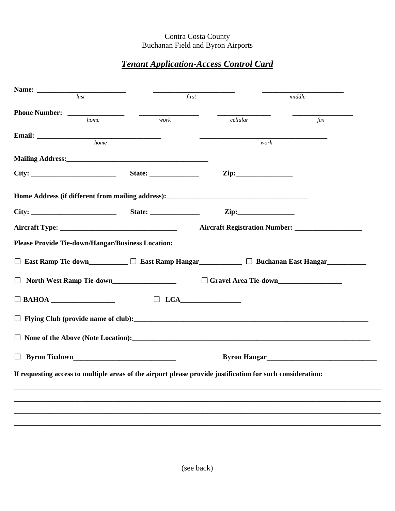## Contra Costa County Buchanan Field and Byron Airports

## *Tenant Application-Access Control Card*

|                                                          | last                                                                                                                                                                                                                                 |                          | first                                                                                                      | middle |           |  |  |
|----------------------------------------------------------|--------------------------------------------------------------------------------------------------------------------------------------------------------------------------------------------------------------------------------------|--------------------------|------------------------------------------------------------------------------------------------------------|--------|-----------|--|--|
|                                                          |                                                                                                                                                                                                                                      |                          |                                                                                                            |        |           |  |  |
|                                                          | home                                                                                                                                                                                                                                 | work                     | cellular                                                                                                   |        | $\int ax$ |  |  |
|                                                          | home                                                                                                                                                                                                                                 |                          |                                                                                                            | work   |           |  |  |
|                                                          |                                                                                                                                                                                                                                      |                          |                                                                                                            |        |           |  |  |
|                                                          |                                                                                                                                                                                                                                      |                          |                                                                                                            |        |           |  |  |
|                                                          |                                                                                                                                                                                                                                      |                          |                                                                                                            |        |           |  |  |
|                                                          |                                                                                                                                                                                                                                      |                          |                                                                                                            |        |           |  |  |
|                                                          |                                                                                                                                                                                                                                      |                          |                                                                                                            |        |           |  |  |
|                                                          |                                                                                                                                                                                                                                      |                          |                                                                                                            |        |           |  |  |
|                                                          |                                                                                                                                                                                                                                      |                          |                                                                                                            |        |           |  |  |
| <b>Please Provide Tie-down/Hangar/Business Location:</b> |                                                                                                                                                                                                                                      |                          |                                                                                                            |        |           |  |  |
|                                                          |                                                                                                                                                                                                                                      |                          |                                                                                                            |        |           |  |  |
|                                                          |                                                                                                                                                                                                                                      |                          | □ East Ramp Tie-down_________ □ East Ramp Hangar__________ □ Buchanan East Hangar__________                |        |           |  |  |
| $\Box$                                                   |                                                                                                                                                                                                                                      | North West Ramp Tie-down |                                                                                                            |        |           |  |  |
|                                                          |                                                                                                                                                                                                                                      |                          |                                                                                                            |        |           |  |  |
| $\Box$ BAHOA                                             |                                                                                                                                                                                                                                      |                          | $\Box$ LCA                                                                                                 |        |           |  |  |
|                                                          |                                                                                                                                                                                                                                      |                          |                                                                                                            |        |           |  |  |
|                                                          |                                                                                                                                                                                                                                      |                          |                                                                                                            |        |           |  |  |
|                                                          |                                                                                                                                                                                                                                      |                          |                                                                                                            |        |           |  |  |
|                                                          | Byron Hangar<br><u>Letter</u> and the settlement of the settlement of the settlement of the settlement of the settlement of the settlement of the settlement of the settlement of the settlement of the settlement of the settlement |                          |                                                                                                            |        |           |  |  |
|                                                          |                                                                                                                                                                                                                                      |                          | If requesting access to multiple areas of the airport please provide justification for such consideration: |        |           |  |  |
|                                                          |                                                                                                                                                                                                                                      |                          |                                                                                                            |        |           |  |  |
|                                                          |                                                                                                                                                                                                                                      |                          |                                                                                                            |        |           |  |  |
|                                                          |                                                                                                                                                                                                                                      |                          |                                                                                                            |        |           |  |  |
|                                                          |                                                                                                                                                                                                                                      |                          |                                                                                                            |        |           |  |  |
|                                                          |                                                                                                                                                                                                                                      |                          |                                                                                                            |        |           |  |  |